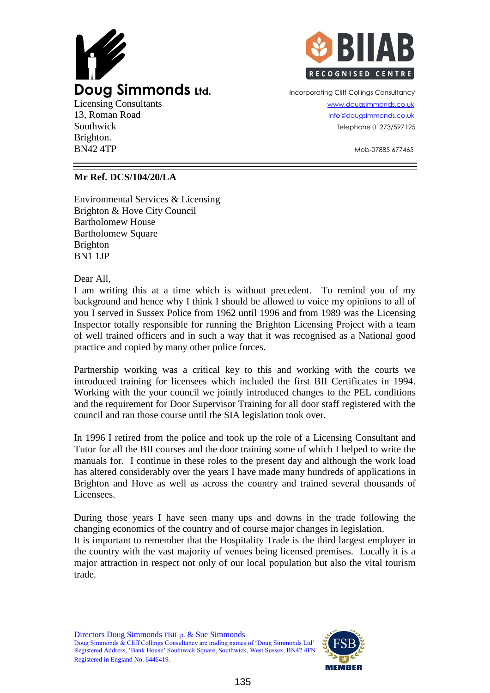



Southwick Telephone 01273/597125

 $BN42$  4TP  $\sim$   $M_{\odot}$   $\sim$   $M_{\odot}$   $\sim$   $M_{\odot}$   $\sim$   $M_{\odot}$   $\sim$   $M_{\odot}$   $\sim$   $M_{\odot}$   $\sim$   $M_{\odot}$   $\sim$   $M_{\odot}$   $\sim$   $M_{\odot}$   $\sim$   $M_{\odot}$   $\sim$   $M_{\odot}$   $\sim$   $M_{\odot}$   $\sim$   $M_{\odot}$   $\sim$   $M_{\odot}$   $\sim$   $M_{\odot}$ 

## **Mr Ref. DCS/104/20/LA**

Environmental Services & Licensing Brighton & Hove City Council Bartholomew House Bartholomew Square Brighton BN1 1JP

Dear All,

Brighton.

I am writing this at a time which is without precedent. To remind you of my background and hence why I think I should be allowed to voice my opinions to all of you I served in Sussex Police from 1962 until 1996 and from 1989 was the Licensing Inspector totally responsible for running the Brighton Licensing Project with a team of well trained officers and in such a way that it was recognised as a National good practice and copied by many other police forces.

Partnership working was a critical key to this and working with the courts we introduced training for licensees which included the first BII Certificates in 1994. Working with the your council we jointly introduced changes to the PEL conditions and the requirement for Door Supervisor Training for all door staff registered with the council and ran those course until the SIA legislation took over.

In 1996 I retired from the police and took up the role of a Licensing Consultant and Tutor for all the BII courses and the door training some of which I helped to write the manuals for. I continue in these roles to the present day and although the work load has altered considerably over the years I have made many hundreds of applications in Brighton and Hove as well as across the country and trained several thousands of Licensees.

During those years I have seen many ups and downs in the trade following the changing economics of the country and of course major changes in legislation.

It is important to remember that the Hospitality Trade is the third largest employer in the country with the vast majority of venues being licensed premises. Locally it is a major attraction in respect not only of our local population but also the vital tourism trade.

Directors Doug Simmonds FBII tp. & Sue Simmonds Doug Simmonds & Cliff Collings Consultancy are trading names of 'Doug Simmonds Ltd' Registered Address, 'Bank House' Southwick Square, Southwick, West Sussex, BN42 4FN Registered in England No. 6446419.